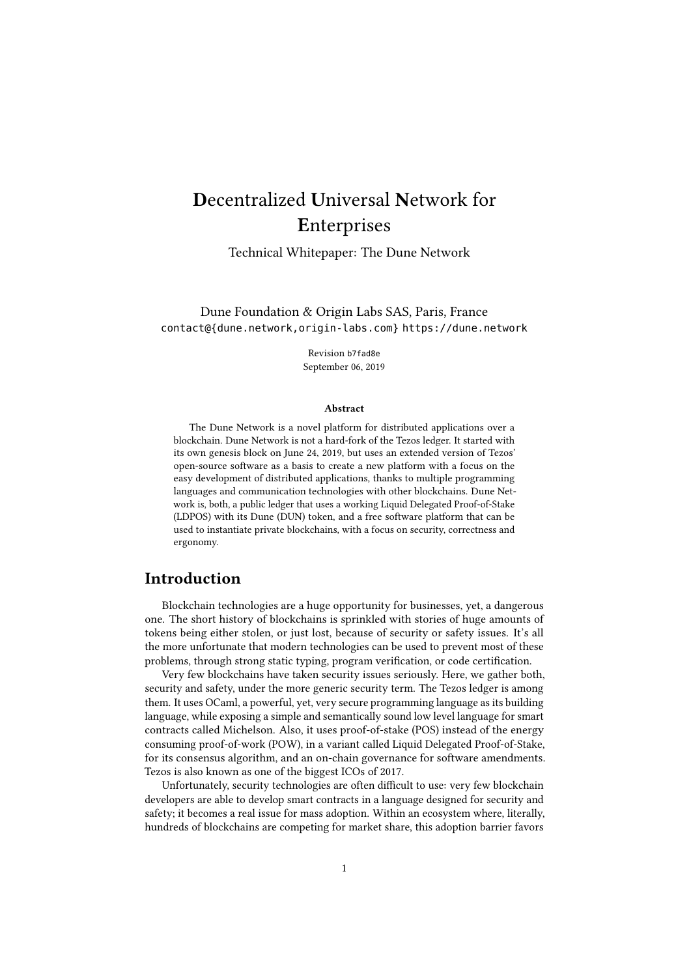# Decentralized Universal Network for Enterprises

Technical Whitepaper: The Dune Network

Dune Foundation & Origin Labs SAS, Paris, France contact@{dune.network,origin-labs.com}<https://dune.network>

> Revision b7fad8e September 06, 2019

#### Abstract

The Dune Network is a novel platform for distributed applications over a blockchain. Dune Network is not a hard-fork of the Tezos ledger. It started with its own genesis block on June 24, 2019, but uses an extended version of Tezos' open-source software as a basis to create a new platform with a focus on the easy development of distributed applications, thanks to multiple programming languages and communication technologies with other blockchains. Dune Network is, both, a public ledger that uses a working Liquid Delegated Proof-of-Stake (LDPOS) with its Dune (DUN) token, and a free software platform that can be used to instantiate private blockchains, with a focus on security, correctness and ergonomy.

## Introduction

Blockchain technologies are a huge opportunity for businesses, yet, a dangerous one. The short history of blockchains is sprinkled with stories of huge amounts of tokens being either stolen, or just lost, because of security or safety issues. It's all the more unfortunate that modern technologies can be used to prevent most of these problems, through strong static typing, program verification, or code certification.

Very few blockchains have taken security issues seriously. Here, we gather both, security and safety, under the more generic security term. The Tezos ledger is among them. It uses OCaml, a powerful, yet, very secure programming language as its building language, while exposing a simple and semantically sound low level language for smart contracts called Michelson. Also, it uses proof-of-stake (POS) instead of the energy consuming proof-of-work (POW), in a variant called Liquid Delegated Proof-of-Stake, for its consensus algorithm, and an on-chain governance for software amendments. Tezos is also known as one of the biggest ICOs of 2017.

Unfortunately, security technologies are often difficult to use: very few blockchain developers are able to develop smart contracts in a language designed for security and safety; it becomes a real issue for mass adoption. Within an ecosystem where, literally, hundreds of blockchains are competing for market share, this adoption barrier favors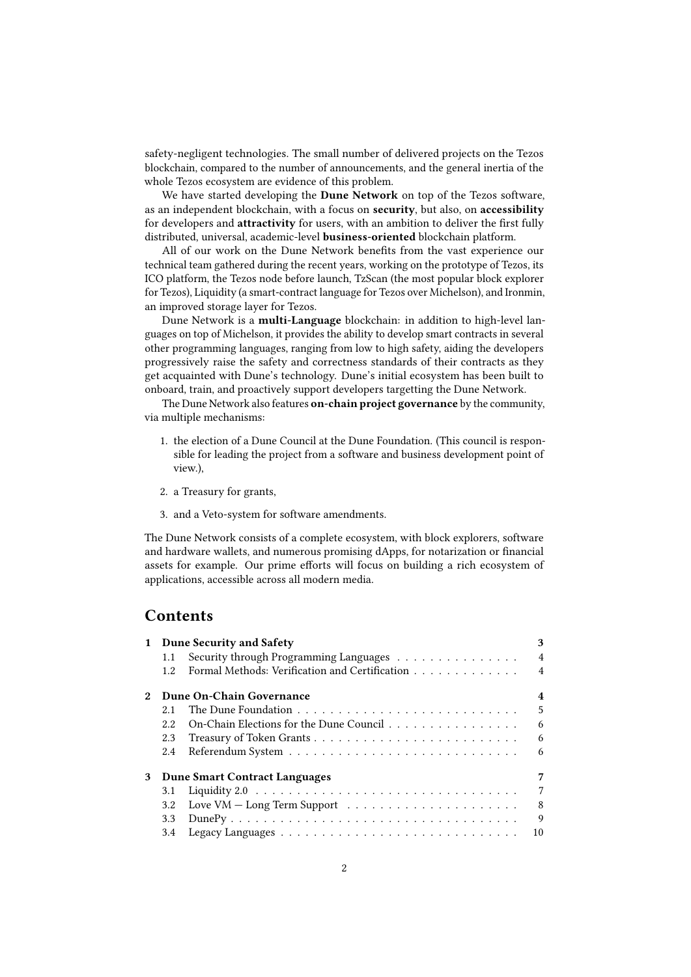safety-negligent technologies. The small number of delivered projects on the Tezos blockchain, compared to the number of announcements, and the general inertia of the whole Tezos ecosystem are evidence of this problem.

We have started developing the Dune Network on top of the Tezos software, as an independent blockchain, with a focus on security, but also, on accessibility for developers and attractivity for users, with an ambition to deliver the first fully distributed, universal, academic-level business-oriented blockchain platform.

All of our work on the Dune Network benefits from the vast experience our technical team gathered during the recent years, working on the prototype of Tezos, its ICO platform, the Tezos node before launch, TzScan (the most popular block explorer for Tezos), Liquidity (a smart-contract language for Tezos over Michelson), and Ironmin, an improved storage layer for Tezos.

Dune Network is a multi-Language blockchain: in addition to high-level languages on top of Michelson, it provides the ability to develop smart contracts in several other programming languages, ranging from low to high safety, aiding the developers progressively raise the safety and correctness standards of their contracts as they get acquainted with Dune's technology. Dune's initial ecosystem has been built to onboard, train, and proactively support developers targetting the Dune Network.

The Dune Network also features on-chain project governance by the community, via multiple mechanisms:

- 1. the election of a Dune Council at the Dune Foundation. (This council is responsible for leading the project from a software and business development point of view.),
- 2. a Treasury for grants,
- 3. and a Veto-system for software amendments.

The Dune Network consists of a complete ecosystem, with block explorers, software and hardware wallets, and numerous promising dApps, for notarization or financial assets for example. Our prime efforts will focus on building a rich ecosystem of applications, accessible across all modern media.

## **Contents**

| $\mathbf{1}$ | <b>Dune Security and Safety</b> |                                                                           | 3              |  |
|--------------|---------------------------------|---------------------------------------------------------------------------|----------------|--|
|              | 1.1                             | Security through Programming Languages                                    | $\overline{4}$ |  |
|              | 12.                             | Formal Methods: Verification and Certification                            | $\overline{4}$ |  |
|              | Dune On-Chain Governance        |                                                                           |                |  |
|              | 2.1                             |                                                                           | 5              |  |
|              | 2.2.                            | On-Chain Elections for the Dune Council                                   | 6              |  |
|              | 2.3                             |                                                                           | 6              |  |
|              | 2.4                             |                                                                           | 6              |  |
| 3            |                                 | <b>Dune Smart Contract Languages</b>                                      | 7              |  |
|              | 3.1                             |                                                                           | 7              |  |
|              | 3.2                             | Love VM $-$ Long Term Support $\dots \dots \dots \dots \dots \dots \dots$ | 8              |  |
|              | 3.3                             |                                                                           | 9              |  |
|              | 3.4                             |                                                                           | 10             |  |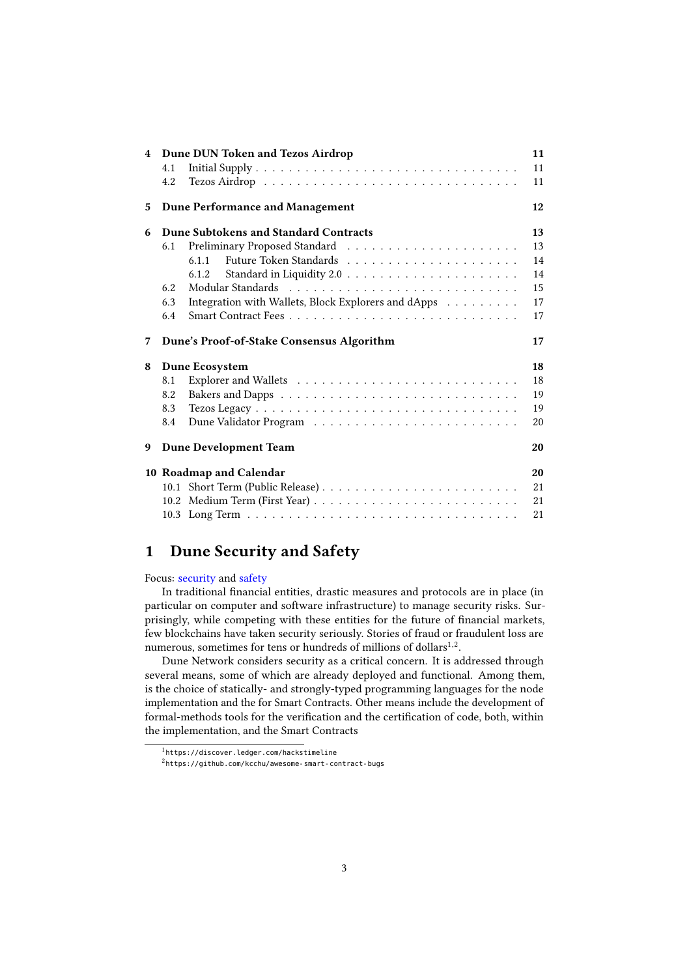|   | 4 Dune DUN Token and Tezos Airdrop                         | 11 |
|---|------------------------------------------------------------|----|
|   | 4.1                                                        | 11 |
|   | 4.2                                                        | 11 |
| 5 | <b>Dune Performance and Management</b>                     | 12 |
| 6 | Dune Subtokens and Standard Contracts                      | 13 |
|   | 6.1                                                        | 13 |
|   | 6.1.1                                                      | 14 |
|   | 6.1.2                                                      | 14 |
|   | 6.2                                                        | 15 |
|   | Integration with Wallets, Block Explorers and dApps<br>6.3 | 17 |
|   | 6.4                                                        | 17 |
| 7 | Dune's Proof-of-Stake Consensus Algorithm                  | 17 |
| 8 | Dune Ecosystem                                             | 18 |
|   | 8.1                                                        | 18 |
|   | 8.2                                                        | 19 |
|   | 8.3                                                        | 19 |
|   | 8.4                                                        | 20 |
| 9 | <b>Dune Development Team</b>                               | 20 |
|   | 10 Roadmap and Calendar                                    | 20 |
|   |                                                            | 21 |
|   |                                                            | 21 |
|   |                                                            | 21 |

## <span id="page-2-0"></span>1 Dune Security and Safety

Focus: security and safety

In traditional financial entities, drastic measures and protocols are in place (in particular on computer and software infrastructure) to manage security risks. Surprisingly, while competing with these entities for the future of financial markets, few blockchains have taken security seriously. Stories of fraud or fraudulent loss are numerous, sometimes for tens or hundreds of millions of dollars $^{1,2}$ .

Dune Network considers security as a critical concern. It is addressed through several means, some of which are already deployed and functional. Among them, is the choice of statically- and strongly-typed programming languages for the node implementation and the for Smart Contracts. Other means include the development of formal-methods tools for the verification and the certification of code, both, within the implementation, and the Smart Contracts

<sup>1</sup> <https://discover.ledger.com/hackstimeline>

<sup>2</sup> <https://github.com/kcchu/awesome-smart-contract-bugs>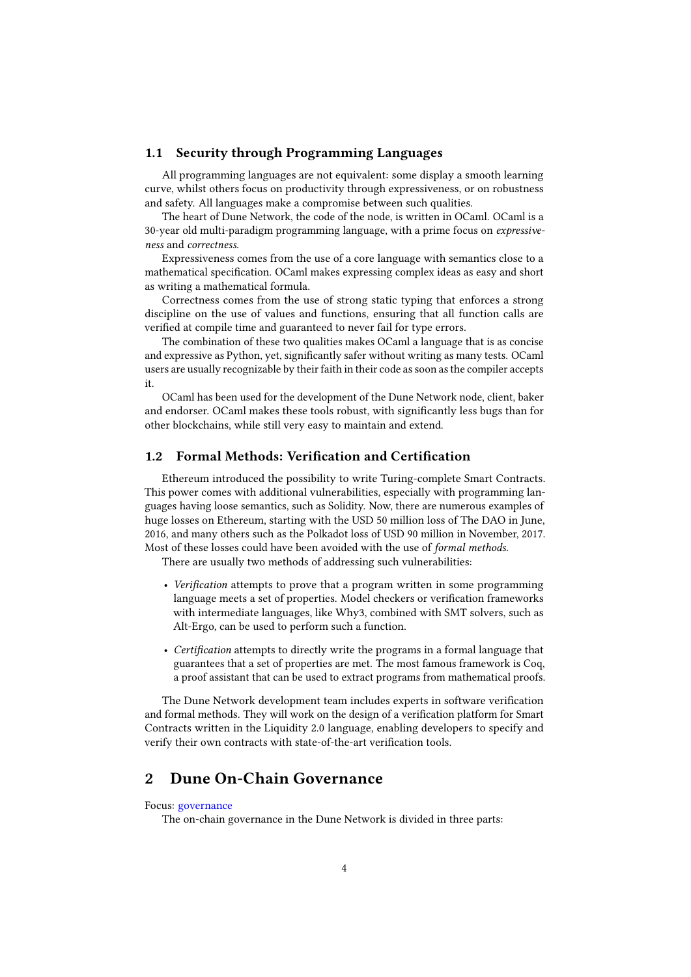## <span id="page-3-0"></span>1.1 Security through Programming Languages

All programming languages are not equivalent: some display a smooth learning curve, whilst others focus on productivity through expressiveness, or on robustness and safety. All languages make a compromise between such qualities.

The heart of Dune Network, the code of the node, is written in OCaml. OCaml is a 30-year old multi-paradigm programming language, with a prime focus on *expressive*ness and correctness.

Expressiveness comes from the use of a core language with semantics close to a mathematical specification. OCaml makes expressing complex ideas as easy and short as writing a mathematical formula.

Correctness comes from the use of strong static typing that enforces a strong discipline on the use of values and functions, ensuring that all function calls are verified at compile time and guaranteed to never fail for type errors.

The combination of these two qualities makes OCaml a language that is as concise and expressive as Python, yet, significantly safer without writing as many tests. OCaml users are usually recognizable by their faith in their code as soon as the compiler accepts it.

OCaml has been used for the development of the Dune Network node, client, baker and endorser. OCaml makes these tools robust, with significantly less bugs than for other blockchains, while still very easy to maintain and extend.

## <span id="page-3-1"></span>1.2 Formal Methods: Verification and Certification

Ethereum introduced the possibility to write Turing-complete Smart Contracts. This power comes with additional vulnerabilities, especially with programming languages having loose semantics, such as Solidity. Now, there are numerous examples of huge losses on Ethereum, starting with the USD 50 million loss of The DAO in June, 2016, and many others such as the Polkadot loss of USD 90 million in November, 2017. Most of these losses could have been avoided with the use of formal methods.

There are usually two methods of addressing such vulnerabilities:

- Verification attempts to prove that a program written in some programming language meets a set of properties. Model checkers or verification frameworks with intermediate languages, like Why3, combined with SMT solvers, such as Alt-Ergo, can be used to perform such a function.
- Certification attempts to directly write the programs in a formal language that guarantees that a set of properties are met. The most famous framework is Coq, a proof assistant that can be used to extract programs from mathematical proofs.

The Dune Network development team includes experts in software verication and formal methods. They will work on the design of a verification platform for Smart Contracts written in the Liquidity 2.0 language, enabling developers to specify and verify their own contracts with state-of-the-art verification tools.

## <span id="page-3-2"></span>2 Dune On-Chain Governance

Focus: governance

The on-chain governance in the Dune Network is divided in three parts: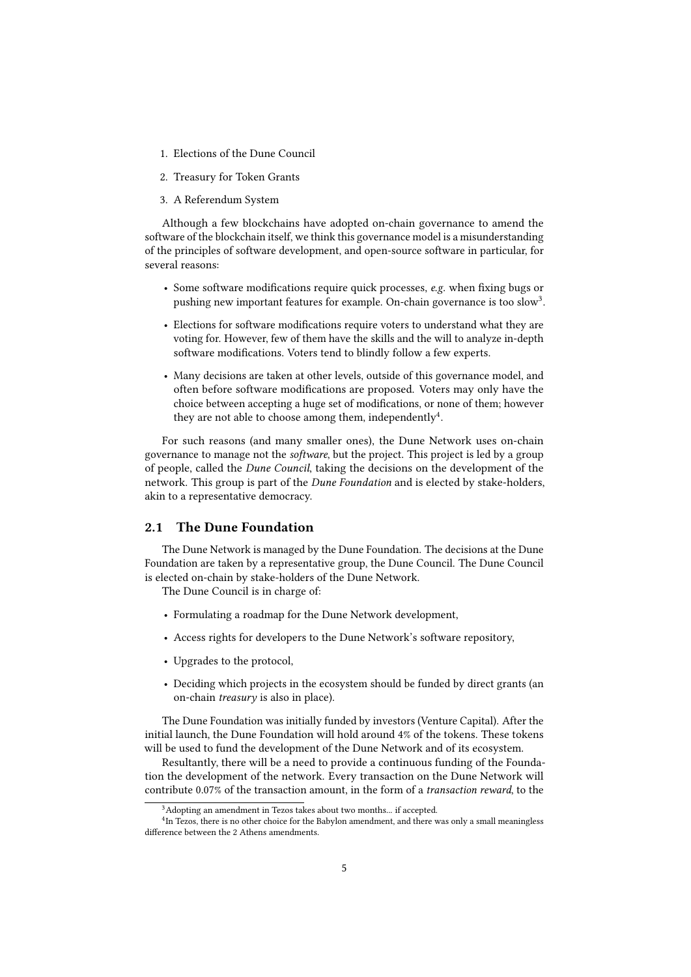- 1. Elections of the Dune Council
- 2. Treasury for Token Grants
- 3. A Referendum System

Although a few blockchains have adopted on-chain governance to amend the software of the blockchain itself, we think this governance model is a misunderstanding of the principles of software development, and open-source software in particular, for several reasons:

- Some software modifications require quick processes, e.g. when fixing bugs or pushing new important features for example. On-chain governance is too slow<sup>3</sup>.
- Elections for software modifications require voters to understand what they are voting for. However, few of them have the skills and the will to analyze in-depth software modifications. Voters tend to blindly follow a few experts.
- Many decisions are taken at other levels, outside of this governance model, and often before software modifications are proposed. Voters may only have the choice between accepting a huge set of modifications, or none of them; however they are not able to choose among them, independently<sup>4</sup>.

For such reasons (and many smaller ones), the Dune Network uses on-chain governance to manage not the software, but the project. This project is led by a group of people, called the Dune Council, taking the decisions on the development of the network. This group is part of the *Dune Foundation* and is elected by stake-holders, akin to a representative democracy.

## <span id="page-4-0"></span>2.1 The Dune Foundation

The Dune Network is managed by the Dune Foundation. The decisions at the Dune Foundation are taken by a representative group, the Dune Council. The Dune Council is elected on-chain by stake-holders of the Dune Network.

The Dune Council is in charge of:

- Formulating a roadmap for the Dune Network development,
- Access rights for developers to the Dune Network's software repository,
- Upgrades to the protocol,
- Deciding which projects in the ecosystem should be funded by direct grants (an on-chain treasury is also in place).

The Dune Foundation was initially funded by investors (Venture Capital). After the initial launch, the Dune Foundation will hold around 4% of the tokens. These tokens will be used to fund the development of the Dune Network and of its ecosystem.

Resultantly, there will be a need to provide a continuous funding of the Foundation the development of the network. Every transaction on the Dune Network will contribute 0.07% of the transaction amount, in the form of a transaction reward, to the

<sup>&</sup>lt;sup>3</sup>Adopting an amendment in Tezos takes about two months... if accepted.

<sup>&</sup>lt;sup>4</sup>In Tezos, there is no other choice for the Babylon amendment, and there was only a small meaningless difference between the 2 Athens amendments.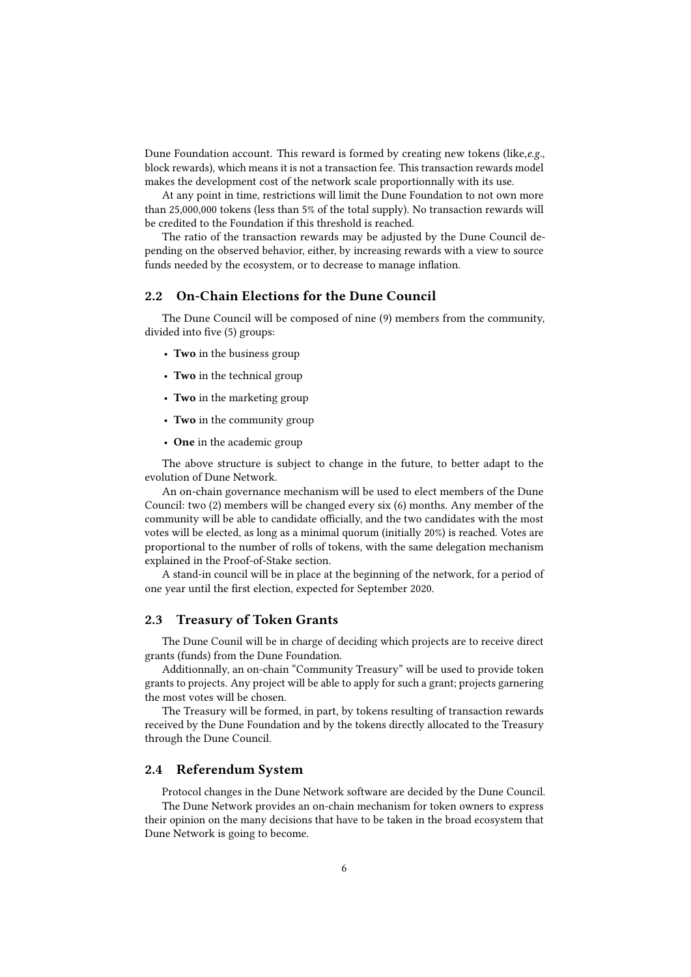Dune Foundation account. This reward is formed by creating new tokens (like,e.g., block rewards), which means it is not a transaction fee. This transaction rewards model makes the development cost of the network scale proportionnally with its use.

At any point in time, restrictions will limit the Dune Foundation to not own more than 25,000,000 tokens (less than 5% of the total supply). No transaction rewards will be credited to the Foundation if this threshold is reached.

The ratio of the transaction rewards may be adjusted by the Dune Council depending on the observed behavior, either, by increasing rewards with a view to source funds needed by the ecosystem, or to decrease to manage inflation.

### <span id="page-5-0"></span>2.2 On-Chain Elections for the Dune Council

The Dune Council will be composed of nine (9) members from the community, divided into five (5) groups:

- Two in the business group
- Two in the technical group
- Two in the marketing group
- Two in the community group
- One in the academic group

The above structure is subject to change in the future, to better adapt to the evolution of Dune Network.

An on-chain governance mechanism will be used to elect members of the Dune Council: two (2) members will be changed every six (6) months. Any member of the community will be able to candidate officially, and the two candidates with the most votes will be elected, as long as a minimal quorum (initially 20%) is reached. Votes are proportional to the number of rolls of tokens, with the same delegation mechanism explained in the Proof-of-Stake section.

A stand-in council will be in place at the beginning of the network, for a period of one year until the first election, expected for September 2020.

## <span id="page-5-1"></span>2.3 Treasury of Token Grants

The Dune Counil will be in charge of deciding which projects are to receive direct grants (funds) from the Dune Foundation.

Additionnally, an on-chain "Community Treasury" will be used to provide token grants to projects. Any project will be able to apply for such a grant; projects garnering the most votes will be chosen.

The Treasury will be formed, in part, by tokens resulting of transaction rewards received by the Dune Foundation and by the tokens directly allocated to the Treasury through the Dune Council.

## <span id="page-5-2"></span>2.4 Referendum System

Protocol changes in the Dune Network software are decided by the Dune Council. The Dune Network provides an on-chain mechanism for token owners to express their opinion on the many decisions that have to be taken in the broad ecosystem that Dune Network is going to become.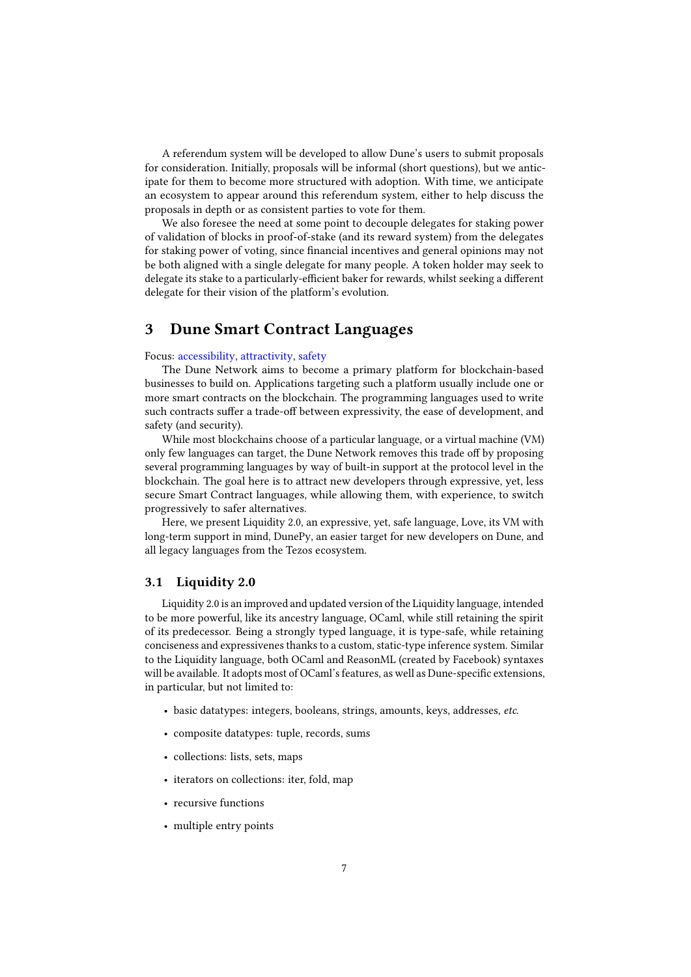A referendum system will be developed to allow Dune's users to submit proposals for consideration. Initially, proposals will be informal (short questions), but we anticipate for them to become more structured with adoption. With time, we anticipate an ecosystem to appear around this referendum system, either to help discuss the proposals in depth or as consistent parties to vote for them.

We also foresee the need at some point to decouple delegates for staking power of validation of blocks in proof-of-stake (and its reward system) from the delegates for staking power of voting, since financial incentives and general opinions may not be both aligned with a single delegate for many people. A token holder may seek to delegate its stake to a particularly-efficient baker for rewards, whilst seeking a different delegate for their vision of the platform's evolution.

## <span id="page-6-0"></span>3 Dune Smart Contract Languages

#### Focus: accessibility, attractivity, safety

The Dune Network aims to become a primary platform for blockchain-based businesses to build on. Applications targeting such a platform usually include one or more smart contracts on the blockchain. The programming languages used to write such contracts suffer a trade-off between expressivity, the ease of development, and safety (and security).

While most blockchains choose of a particular language, or a virtual machine (VM) only few languages can target, the Dune Network removes this trade off by proposing several programming languages by way of built-in support at the protocol level in the blockchain. The goal here is to attract new developers through expressive, yet, less secure Smart Contract languages, while allowing them, with experience, to switch progressively to safer alternatives.

Here, we present Liquidity 2.0, an expressive, yet, safe language, Love, its VM with long-term support in mind, DunePy, an easier target for new developers on Dune, and all legacy languages from the Tezos ecosystem.

## <span id="page-6-1"></span>3.1 Liquidity 2.0

Liquidity 2.0 is an improved and updated version of the Liquidity language, intended to be more powerful, like its ancestry language, OCaml, while still retaining the spirit of its predecessor. Being a strongly typed language, it is type-safe, while retaining conciseness and expressivenes thanks to a custom, static-type inference system. Similar to the Liquidity language, both OCaml and ReasonML (created by Facebook) syntaxes will be available. It adopts most of OCaml's features, as well as Dune-specific extensions, in particular, but not limited to:

- basic datatypes: integers, booleans, strings, amounts, keys, addresses, etc.
- composite datatypes: tuple, records, sums
- collections: lists, sets, maps
- iterators on collections: iter, fold, map
- recursive functions
- multiple entry points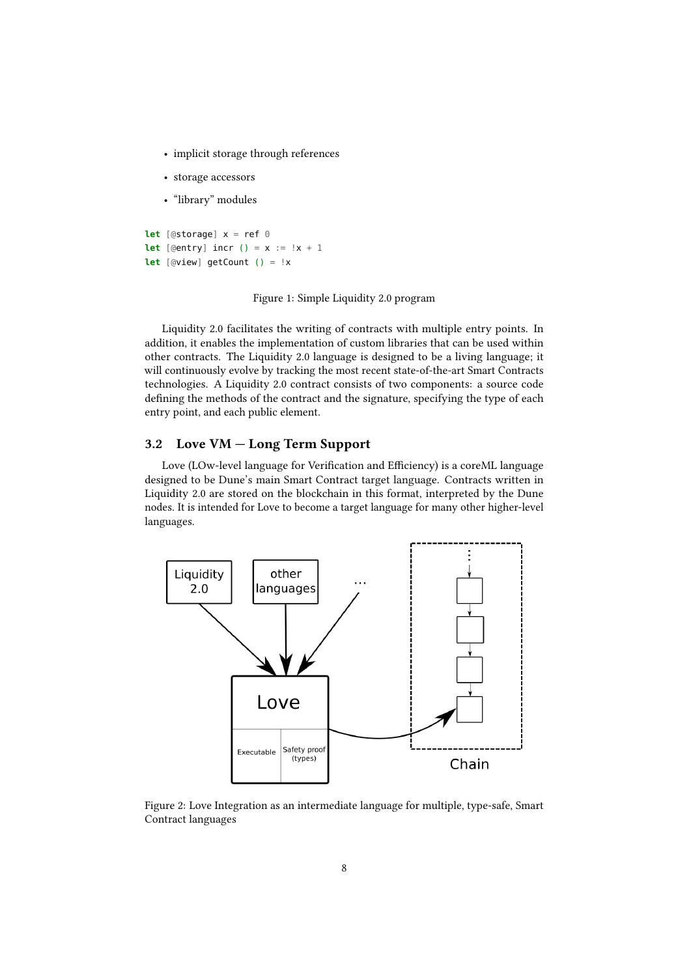- implicit storage through references
- storage accessors
- "library" modules

```
let [@storage] x = ref 0
let [@entry] \text{incr} () = x := !x + 1let [@view] getCount () = !x
```
## Figure 1: Simple Liquidity 2.0 program

Liquidity 2.0 facilitates the writing of contracts with multiple entry points. In addition, it enables the implementation of custom libraries that can be used within other contracts. The Liquidity 2.0 language is designed to be a living language; it will continuously evolve by tracking the most recent state-of-the-art Smart Contracts technologies. A Liquidity 2.0 contract consists of two components: a source code defining the methods of the contract and the signature, specifying the type of each entry point, and each public element.

## <span id="page-7-0"></span>3.2 Love VM — Long Term Support

Love (LOw-level language for Verification and Efficiency) is a coreML language designed to be Dune's main Smart Contract target language. Contracts written in Liquidity 2.0 are stored on the blockchain in this format, interpreted by the Dune nodes. It is intended for Love to become a target language for many other higher-level languages.



Figure 2: Love Integration as an intermediate language for multiple, type-safe, Smart Contract languages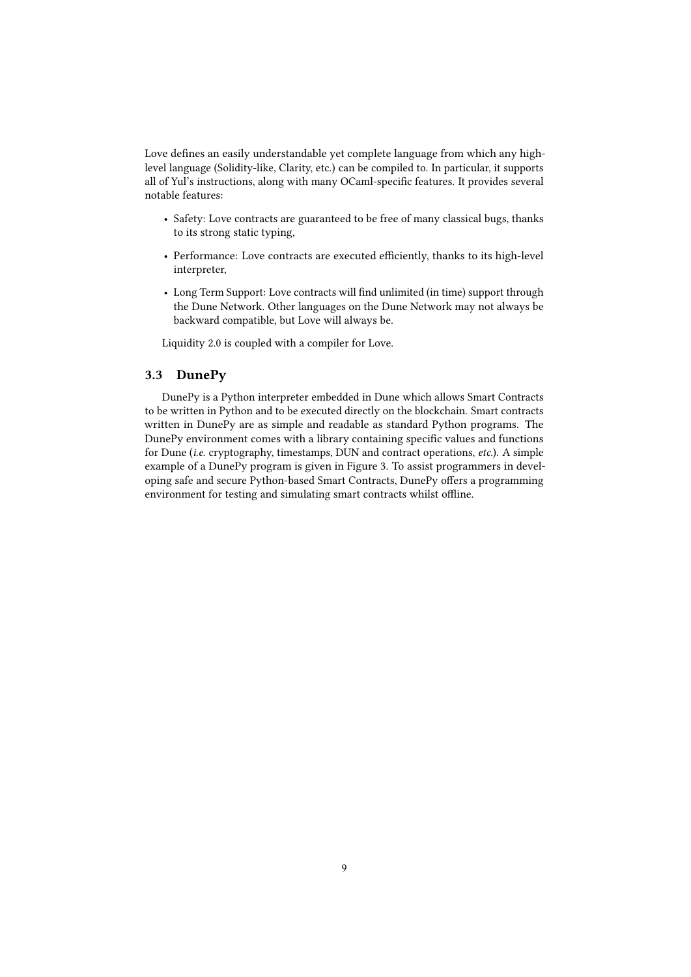Love defines an easily understandable yet complete language from which any highlevel language (Solidity-like, Clarity, etc.) can be compiled to. In particular, it supports all of Yul's instructions, along with many OCaml-specific features. It provides several notable features:

- Safety: Love contracts are guaranteed to be free of many classical bugs, thanks to its strong static typing,
- Performance: Love contracts are executed efficiently, thanks to its high-level interpreter,
- Long Term Support: Love contracts will find unlimited (in time) support through the Dune Network. Other languages on the Dune Network may not always be backward compatible, but Love will always be.

Liquidity 2.0 is coupled with a compiler for Love.

## <span id="page-8-0"></span>3.3 DunePy

DunePy is a Python interpreter embedded in Dune which allows Smart Contracts to be written in Python and to be executed directly on the blockchain. Smart contracts written in DunePy are as simple and readable as standard Python programs. The DunePy environment comes with a library containing specific values and functions for Dune (i.e. cryptography, timestamps, DUN and contract operations, etc.). A simple example of a DunePy program is given in Figure [3.](#page-9-1) To assist programmers in developing safe and secure Python-based Smart Contracts, DunePy offers a programming environment for testing and simulating smart contracts whilst offline.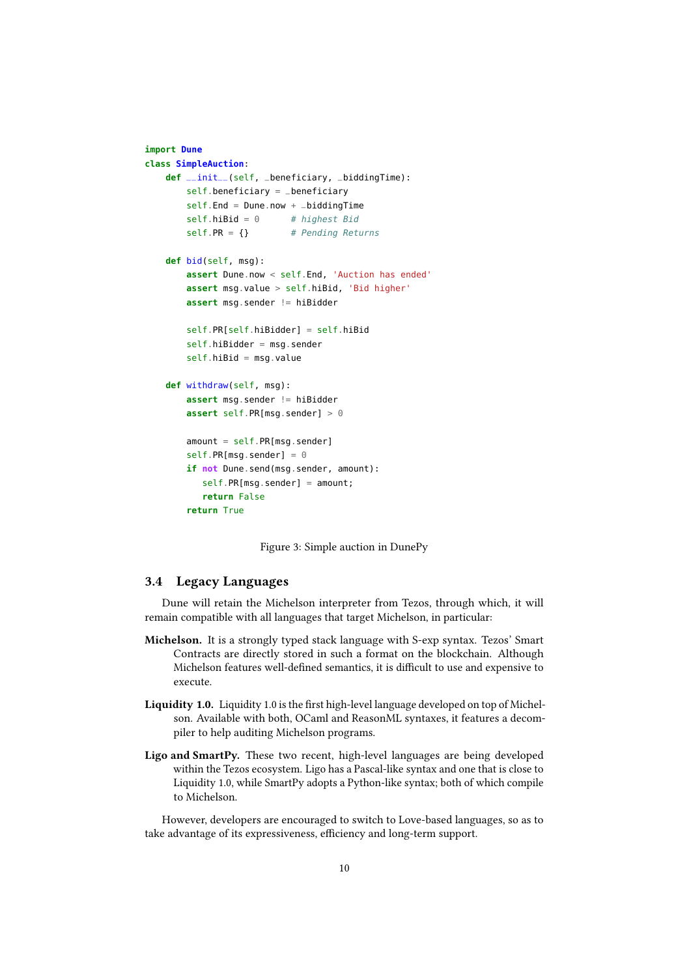```
import Dune
class SimpleAuction:
    def __init__(self, _beneficiary, _biddingTime):
        self.beneficiary = _beneficiary
        self.End = Dune.now + _biddingTimeself.hibid = 0 # highest Bid
        self.PR = {} # Pending Returns
    def bid(self, msg):
        assert Dune.now < self.End, 'Auction has ended'
        assert msg.value > self.hiBid, 'Bid higher'
        assert msg.sender != hiBidder
        self.PR[self.hiBidder] = self.hiBid
        self.hiBidder = msg.sender
        self.hiBid = msg.value
    def withdraw(self, msg):
        assert msg.sender != hiBidder
        assert self.PR[msg.sender] > 0
        amount = self.PR[msg.sender]self.PR[msg.sender] = 0if not Dune.send(msg.sender, amount):
          self.PR[msg.sender] = amount;
           return False
        return True
```
<span id="page-9-1"></span>Figure 3: Simple auction in DunePy

## <span id="page-9-0"></span>3.4 Legacy Languages

Dune will retain the Michelson interpreter from Tezos, through which, it will remain compatible with all languages that target Michelson, in particular:

- Michelson. It is a strongly typed stack language with S-exp syntax. Tezos' Smart Contracts are directly stored in such a format on the blockchain. Although Michelson features well-defined semantics, it is difficult to use and expensive to execute.
- Liquidity 1.0. Liquidity 1.0 is the first high-level language developed on top of Michelson. Available with both, OCaml and ReasonML syntaxes, it features a decompiler to help auditing Michelson programs.
- Ligo and SmartPy. These two recent, high-level languages are being developed within the Tezos ecosystem. Ligo has a Pascal-like syntax and one that is close to Liquidity 1.0, while SmartPy adopts a Python-like syntax; both of which compile to Michelson.

However, developers are encouraged to switch to Love-based languages, so as to take advantage of its expressiveness, efficiency and long-term support.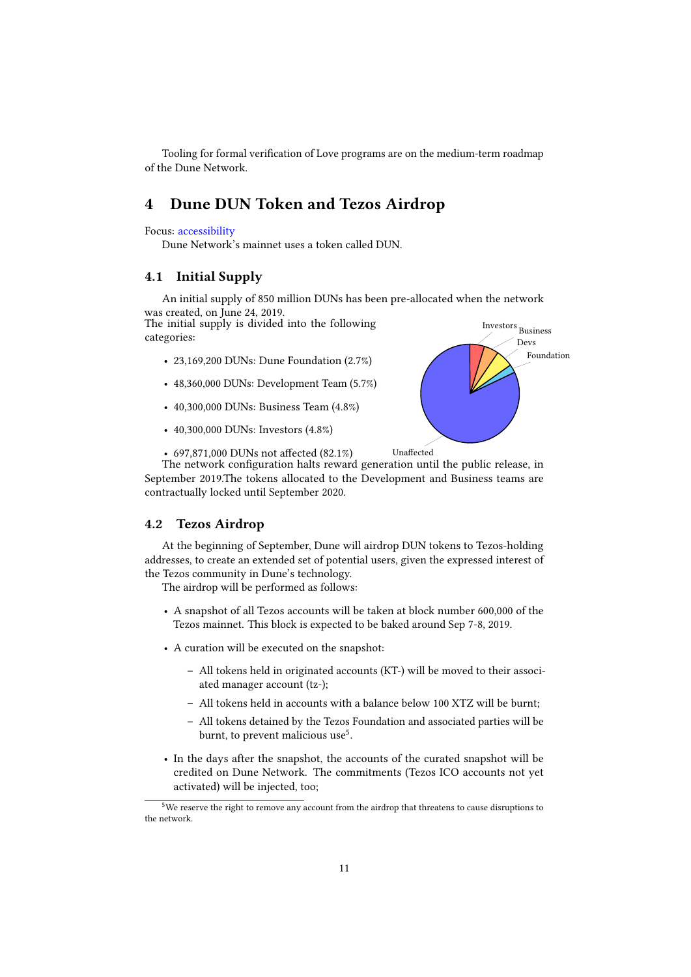Tooling for formal verification of Love programs are on the medium-term roadmap of the Dune Network.

## <span id="page-10-0"></span>4 Dune DUN Token and Tezos Airdrop

#### Focus: accessibility

Dune Network's mainnet uses a token called DUN.

## <span id="page-10-1"></span>4.1 Initial Supply

An initial supply of 850 million DUNs has been pre-allocated when the network was created, on June 24, 2019.

The initial supply is divided into the following categories:

- 23,169,200 DUNs: Dune Foundation (2.7%)
- 48,360,000 DUNs: Development Team (5.7%)
- 40,300,000 DUNs: Business Team (4.8%)
- 40,300,000 DUNs: Investors (4.8%)

Foundation Devs

 $\bar{{\rm B} \bar{{\rm u}}}$  Business

• 697,871,000 DUNs not affected  $(82.1\%)$  Unaffected

The network configuration halts reward generation until the public release, in September 2019.The tokens allocated to the Development and Business teams are contractually locked until September 2020.

### <span id="page-10-2"></span>4.2 Tezos Airdrop

At the beginning of September, Dune will airdrop DUN tokens to Tezos-holding addresses, to create an extended set of potential users, given the expressed interest of the Tezos community in Dune's technology.

The airdrop will be performed as follows:

- A snapshot of all Tezos accounts will be taken at block number 600,000 of the Tezos mainnet. This block is expected to be baked around Sep 7-8, 2019.
- A curation will be executed on the snapshot:
	- All tokens held in originated accounts (KT-) will be moved to their associated manager account (tz-);
	- All tokens held in accounts with a balance below 100 XTZ will be burnt;
	- All tokens detained by the Tezos Foundation and associated parties will be burnt, to prevent malicious use<sup>5</sup>.
- In the days after the snapshot, the accounts of the curated snapshot will be credited on Dune Network. The commitments (Tezos ICO accounts not yet activated) will be injected, too;

<sup>&</sup>lt;sup>5</sup>We reserve the right to remove any account from the airdrop that threatens to cause disruptions to the network.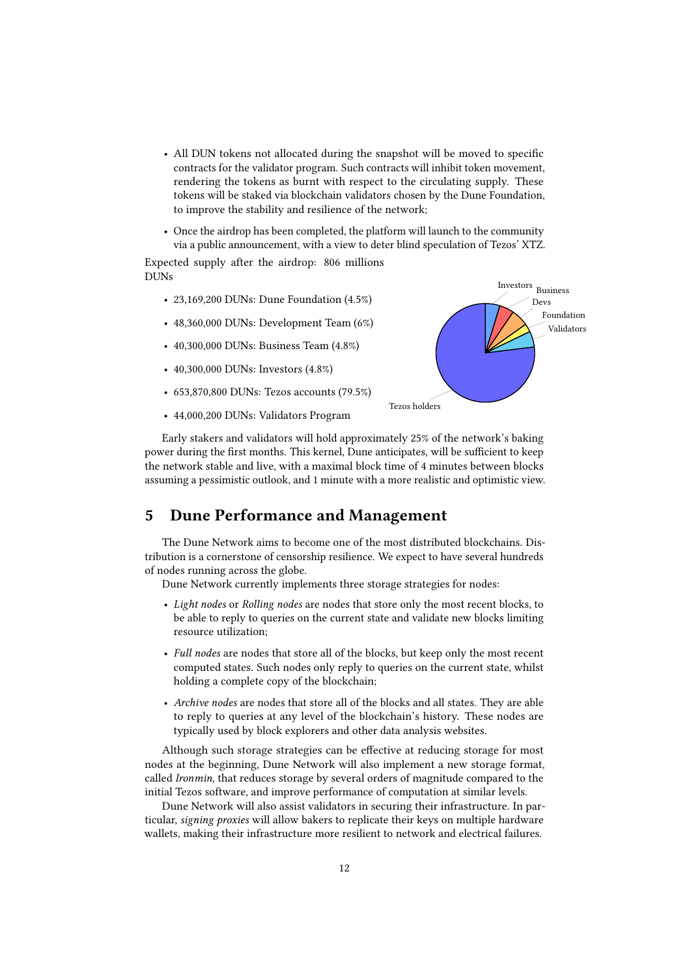- All DUN tokens not allocated during the snapshot will be moved to specific contracts for the validator program. Such contracts will inhibit token movement, rendering the tokens as burnt with respect to the circulating supply. These tokens will be staked via blockchain validators chosen by the Dune Foundation, to improve the stability and resilience of the network;
- Once the airdrop has been completed, the platform will launch to the community via a public announcement, with a view to deter blind speculation of Tezos' XTZ.

Expected supply after the airdrop: 806 millions DUNs

- 23,169,200 DUNs: Dune Foundation (4.5%)
- 48,360,000 DUNs: Development Team (6%)
- 40,300,000 DUNs: Business Team (4.8%)
- 40,300,000 DUNs: Investors (4.8%)
- 653,870,800 DUNs: Tezos accounts (79.5%)
- 44,000,200 DUNs: Validators Program



Early stakers and validators will hold approximately 25% of the network's baking power during the first months. This kernel, Dune anticipates, will be sufficient to keep the network stable and live, with a maximal block time of 4 minutes between blocks assuming a pessimistic outlook, and 1 minute with a more realistic and optimistic view.

## <span id="page-11-0"></span>5 Dune Performance and Management

The Dune Network aims to become one of the most distributed blockchains. Distribution is a cornerstone of censorship resilience. We expect to have several hundreds of nodes running across the globe.

Dune Network currently implements three storage strategies for nodes:

- Light nodes or Rolling nodes are nodes that store only the most recent blocks, to be able to reply to queries on the current state and validate new blocks limiting resource utilization;
- Full nodes are nodes that store all of the blocks, but keep only the most recent computed states. Such nodes only reply to queries on the current state, whilst holding a complete copy of the blockchain;
- Archive nodes are nodes that store all of the blocks and all states. They are able to reply to queries at any level of the blockchain's history. These nodes are typically used by block explorers and other data analysis websites.

Although such storage strategies can be effective at reducing storage for most nodes at the beginning, Dune Network will also implement a new storage format, called Ironmin, that reduces storage by several orders of magnitude compared to the initial Tezos software, and improve performance of computation at similar levels.

Dune Network will also assist validators in securing their infrastructure. In particular, signing proxies will allow bakers to replicate their keys on multiple hardware wallets, making their infrastructure more resilient to network and electrical failures.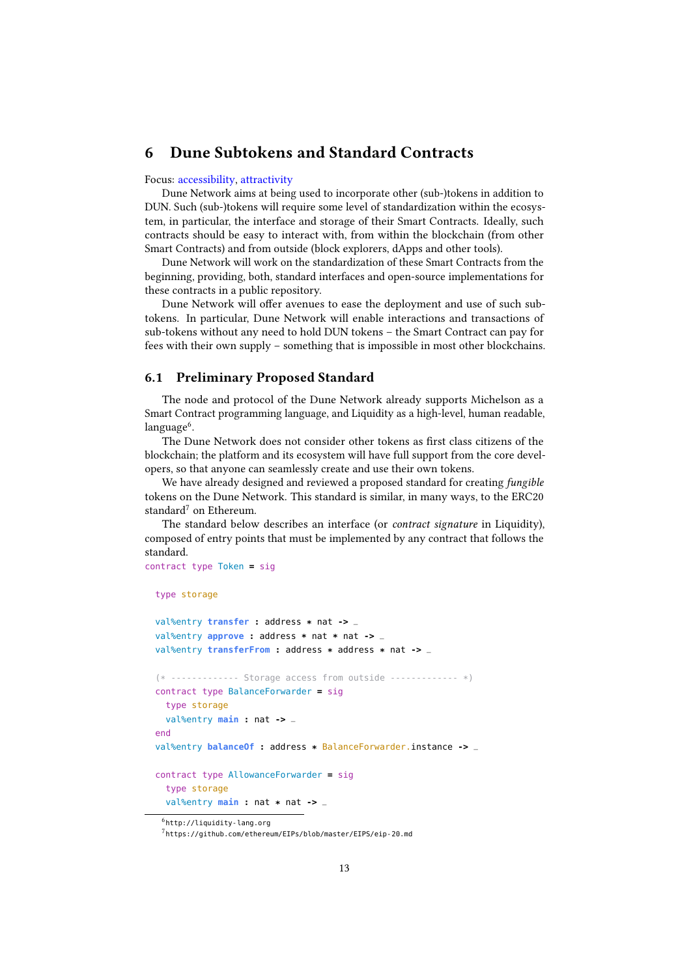## <span id="page-12-0"></span>6 Dune Subtokens and Standard Contracts

#### Focus: accessibility, attractivity

Dune Network aims at being used to incorporate other (sub-)tokens in addition to DUN. Such (sub-)tokens will require some level of standardization within the ecosystem, in particular, the interface and storage of their Smart Contracts. Ideally, such contracts should be easy to interact with, from within the blockchain (from other Smart Contracts) and from outside (block explorers, dApps and other tools).

Dune Network will work on the standardization of these Smart Contracts from the beginning, providing, both, standard interfaces and open-source implementations for these contracts in a public repository.

Dune Network will offer avenues to ease the deployment and use of such subtokens. In particular, Dune Network will enable interactions and transactions of sub-tokens without any need to hold DUN tokens – the Smart Contract can pay for fees with their own supply – something that is impossible in most other blockchains.

## <span id="page-12-1"></span>6.1 Preliminary Proposed Standard

The node and protocol of the Dune Network already supports Michelson as a Smart Contract programming language, and Liquidity as a high-level, human readable,  $language<sup>6</sup>$ .

The Dune Network does not consider other tokens as first class citizens of the blockchain; the platform and its ecosystem will have full support from the core developers, so that anyone can seamlessly create and use their own tokens.

We have already designed and reviewed a proposed standard for creating fungible tokens on the Dune Network. This standard is similar, in many ways, to the ERC20 standard<sup>7</sup> on Ethereum.

The standard below describes an interface (or contract signature in Liquidity), composed of entry points that must be implemented by any contract that follows the standard.

```
contract type Token = sig
```

```
type storage
```

```
val%entry transfer : address * nat -> _
val%entry approve : address * nat * nat -> _
val%entry transferFrom : address * address * nat -> _
(* ------------- Storage access from outside ------------- *)
contract type BalanceForwarder = sig
 type storage
 val%entry main : nat -> _
end
val%entry balanceOf : address * BalanceForwarder.instance -> _
contract type AllowanceForwarder = sig
  type storage
 val%entry main : nat * nat -> _
```
6 <http://liquidity-lang.org>

<sup>7</sup> <https://github.com/ethereum/EIPs/blob/master/EIPS/eip-20.md>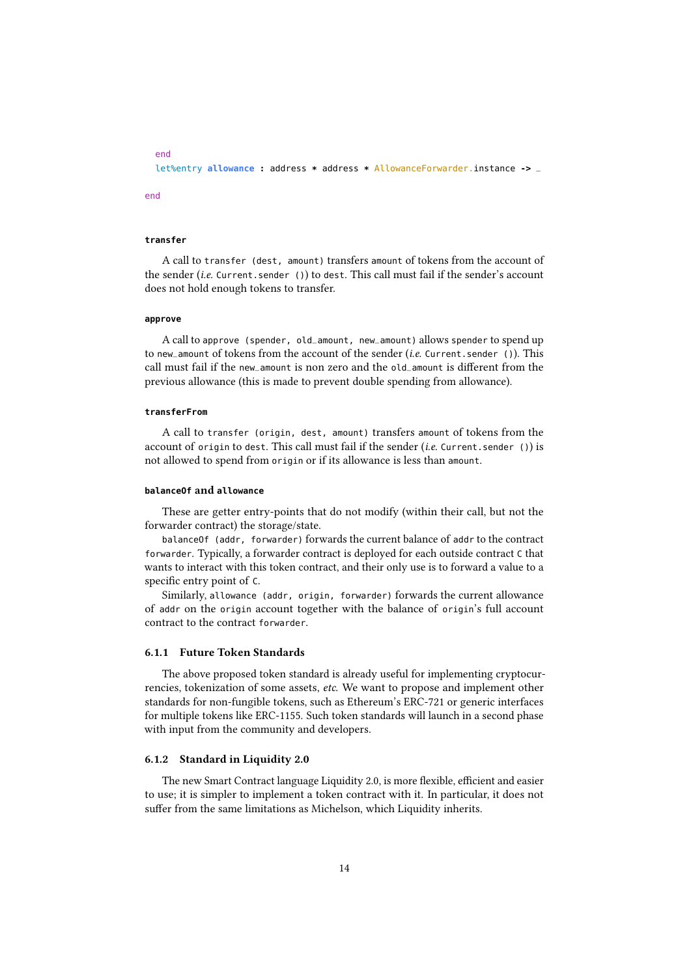```
let%entry allowance : address * address * AllowanceForwarder.instance -> _
```
end

end

### **transfer**

A call to transfer (dest, amount) transfers amount of tokens from the account of the sender (i.e. Current.sender ()) to dest. This call must fail if the sender's account does not hold enough tokens to transfer.

#### **approve**

A call to approve (spender, old\_amount, new\_amount) allows spender to spend up to new\_amount of tokens from the account of the sender (i.e. Current.sender ()). This call must fail if the new\_amount is non zero and the old\_amount is different from the previous allowance (this is made to prevent double spending from allowance).

#### **transferFrom**

A call to transfer (origin, dest, amount) transfers amount of tokens from the account of origin to dest. This call must fail if the sender  $(i.e.$  Current. sender ()) is not allowed to spend from origin or if its allowance is less than amount.

#### **balanceOf** and **allowance**

These are getter entry-points that do not modify (within their call, but not the forwarder contract) the storage/state.

balanceOf (addr, forwarder) forwards the current balance of addr to the contract forwarder. Typically, a forwarder contract is deployed for each outside contract C that wants to interact with this token contract, and their only use is to forward a value to a specific entry point of C.

Similarly, allowance (addr, origin, forwarder) forwards the current allowance of addr on the origin account together with the balance of origin's full account contract to the contract forwarder.

### <span id="page-13-0"></span>6.1.1 Future Token Standards

The above proposed token standard is already useful for implementing cryptocurrencies, tokenization of some assets, etc. We want to propose and implement other standards for non-fungible tokens, such as Ethereum's ERC-721 or generic interfaces for multiple tokens like ERC-1155. Such token standards will launch in a second phase with input from the community and developers.

#### <span id="page-13-1"></span>6.1.2 Standard in Liquidity 2.0

The new Smart Contract language Liquidity 2.0, is more flexible, efficient and easier to use; it is simpler to implement a token contract with it. In particular, it does not suffer from the same limitations as Michelson, which Liquidity inherits.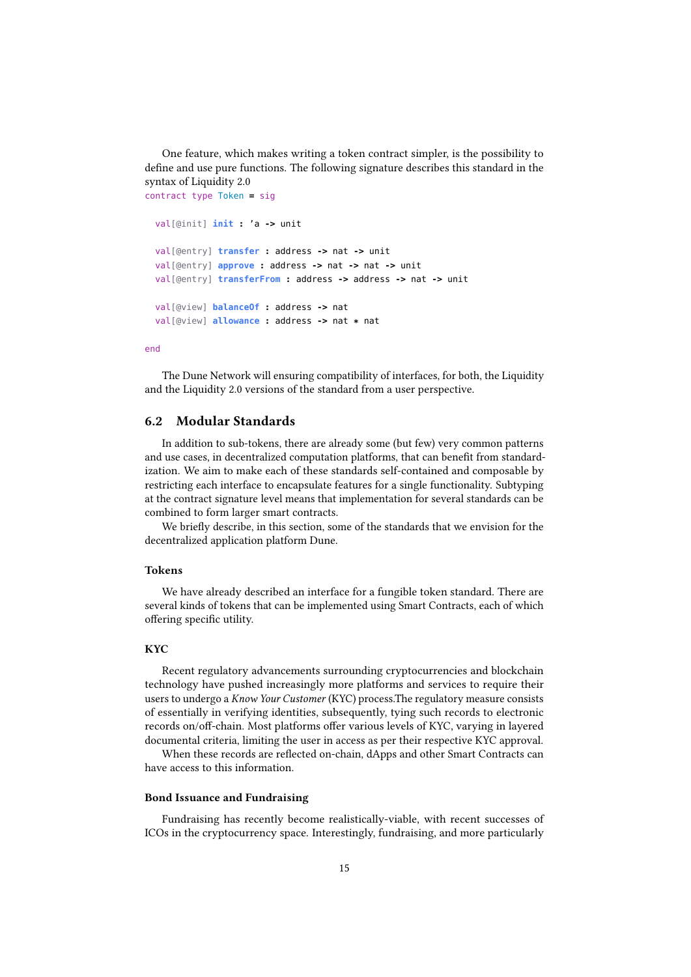One feature, which makes writing a token contract simpler, is the possibility to define and use pure functions. The following signature describes this standard in the syntax of Liquidity 2.0 contract type Token **=** sig

```
val[@init] init : 'a -> unit
val[@entry] transfer : address -> nat -> unit
val[@entry] approve : address -> nat -> nat -> unit
val[@entry] transferFrom : address -> address -> nat -> unit
val[@view] balanceOf : address -> nat
val[@view] allowance : address -> nat * nat
```
end

The Dune Network will ensuring compatibility of interfaces, for both, the Liquidity and the Liquidity 2.0 versions of the standard from a user perspective.

## <span id="page-14-0"></span>6.2 Modular Standards

In addition to sub-tokens, there are already some (but few) very common patterns and use cases, in decentralized computation platforms, that can benefit from standardization. We aim to make each of these standards self-contained and composable by restricting each interface to encapsulate features for a single functionality. Subtyping at the contract signature level means that implementation for several standards can be combined to form larger smart contracts.

We briefly describe, in this section, some of the standards that we envision for the decentralized application platform Dune.

#### Tokens

We have already described an interface for a fungible token standard. There are several kinds of tokens that can be implemented using Smart Contracts, each of which offering specific utility.

#### **KYC**

Recent regulatory advancements surrounding cryptocurrencies and blockchain technology have pushed increasingly more platforms and services to require their users to undergo a Know Your Customer (KYC) process. The regulatory measure consists of essentially in verifying identities, subsequently, tying such records to electronic records on/off-chain. Most platforms offer various levels of KYC, varying in layered documental criteria, limiting the user in access as per their respective KYC approval.

When these records are reflected on-chain, dApps and other Smart Contracts can have access to this information.

### Bond Issuance and Fundraising

Fundraising has recently become realistically-viable, with recent successes of ICOs in the cryptocurrency space. Interestingly, fundraising, and more particularly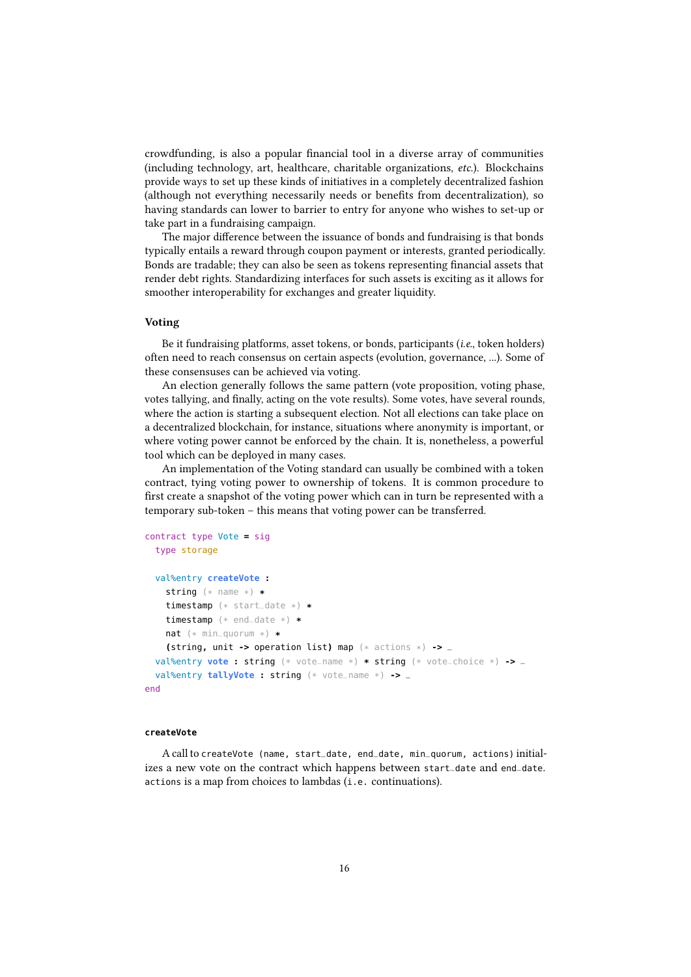crowdfunding, is also a popular financial tool in a diverse array of communities (including technology, art, healthcare, charitable organizations, etc.). Blockchains provide ways to set up these kinds of initiatives in a completely decentralized fashion (although not everything necessarily needs or benets from decentralization), so having standards can lower to barrier to entry for anyone who wishes to set-up or take part in a fundraising campaign.

The major difference between the issuance of bonds and fundraising is that bonds typically entails a reward through coupon payment or interests, granted periodically. Bonds are tradable; they can also be seen as tokens representing financial assets that render debt rights. Standardizing interfaces for such assets is exciting as it allows for smoother interoperability for exchanges and greater liquidity.

### Voting

Be it fundraising platforms, asset tokens, or bonds, participants (i.e., token holders) often need to reach consensus on certain aspects (evolution, governance, ...). Some of these consensuses can be achieved via voting.

An election generally follows the same pattern (vote proposition, voting phase, votes tallying, and finally, acting on the vote results). Some votes, have several rounds, where the action is starting a subsequent election. Not all elections can take place on a decentralized blockchain, for instance, situations where anonymity is important, or where voting power cannot be enforced by the chain. It is, nonetheless, a powerful tool which can be deployed in many cases.

An implementation of the Voting standard can usually be combined with a token contract, tying voting power to ownership of tokens. It is common procedure to first create a snapshot of the voting power which can in turn be represented with a temporary sub-token – this means that voting power can be transferred.

```
contract type Vote = sig
 type storage
 val%entry createVote :
   string (* name *) *
   timestamp (* start_date *) *
   timestamp (* end_date *) *
   nat (* min_quorum *) *
   (string, unit -> operation list) map (* actions *) -> _
 val%entry vote : string (* vote_name *) * string (* vote_choice *) -> _
 val%entry tallyVote : string (* vote_name *) -> _
end
```
#### **createVote**

A call to createVote (name, start\_date, end\_date, min\_quorum, actions) initializes a new vote on the contract which happens between start\_date and end\_date. actions is a map from choices to lambdas (i.e. continuations).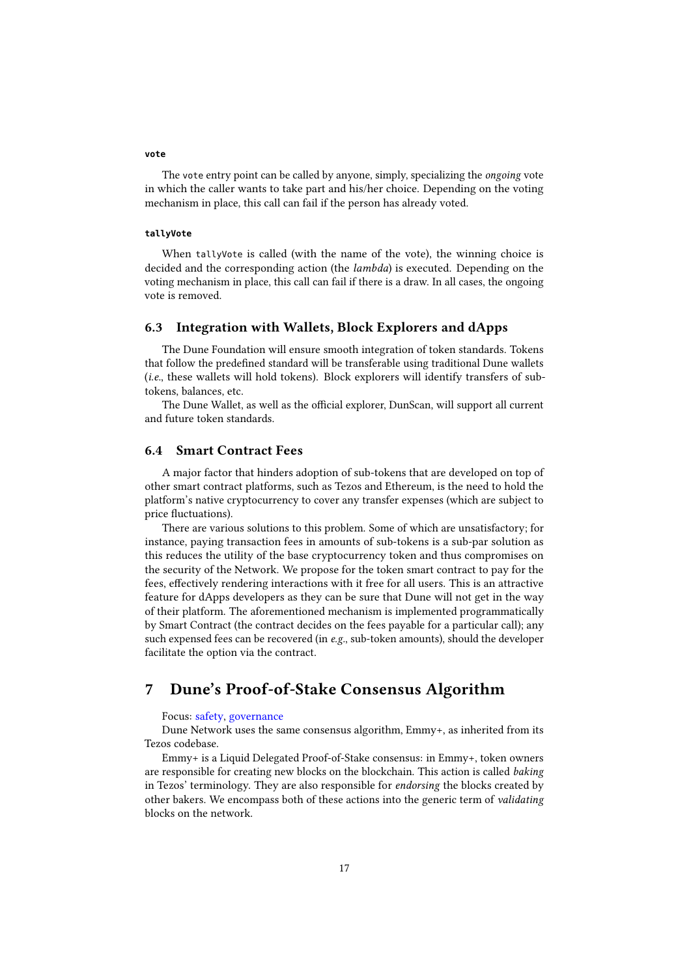#### **vote**

The vote entry point can be called by anyone, simply, specializing the ongoing vote in which the caller wants to take part and his/her choice. Depending on the voting mechanism in place, this call can fail if the person has already voted.

#### **tallyVote**

When tallyVote is called (with the name of the vote), the winning choice is decided and the corresponding action (the *lambda*) is executed. Depending on the voting mechanism in place, this call can fail if there is a draw. In all cases, the ongoing vote is removed.

## <span id="page-16-0"></span>6.3 Integration with Wallets, Block Explorers and dApps

The Dune Foundation will ensure smooth integration of token standards. Tokens that follow the predefined standard will be transferable using traditional Dune wallets (i.e., these wallets will hold tokens). Block explorers will identify transfers of subtokens, balances, etc.

The Dune Wallet, as well as the official explorer, DunScan, will support all current and future token standards.

## <span id="page-16-1"></span>6.4 Smart Contract Fees

A major factor that hinders adoption of sub-tokens that are developed on top of other smart contract platforms, such as Tezos and Ethereum, is the need to hold the platform's native cryptocurrency to cover any transfer expenses (which are subject to price fluctuations).

There are various solutions to this problem. Some of which are unsatisfactory; for instance, paying transaction fees in amounts of sub-tokens is a sub-par solution as this reduces the utility of the base cryptocurrency token and thus compromises on the security of the Network. We propose for the token smart contract to pay for the fees, effectively rendering interactions with it free for all users. This is an attractive feature for dApps developers as they can be sure that Dune will not get in the way of their platform. The aforementioned mechanism is implemented programmatically by Smart Contract (the contract decides on the fees payable for a particular call); any such expensed fees can be recovered (in e.g., sub-token amounts), should the developer facilitate the option via the contract.

## <span id="page-16-2"></span>7 Dune's Proof-of-Stake Consensus Algorithm

#### Focus: safety, governance

Dune Network uses the same consensus algorithm, Emmy+, as inherited from its Tezos codebase.

Emmy+ is a Liquid Delegated Proof-of-Stake consensus: in Emmy+, token owners are responsible for creating new blocks on the blockchain. This action is called *baking* in Tezos' terminology. They are also responsible for endorsing the blocks created by other bakers. We encompass both of these actions into the generic term of validating blocks on the network.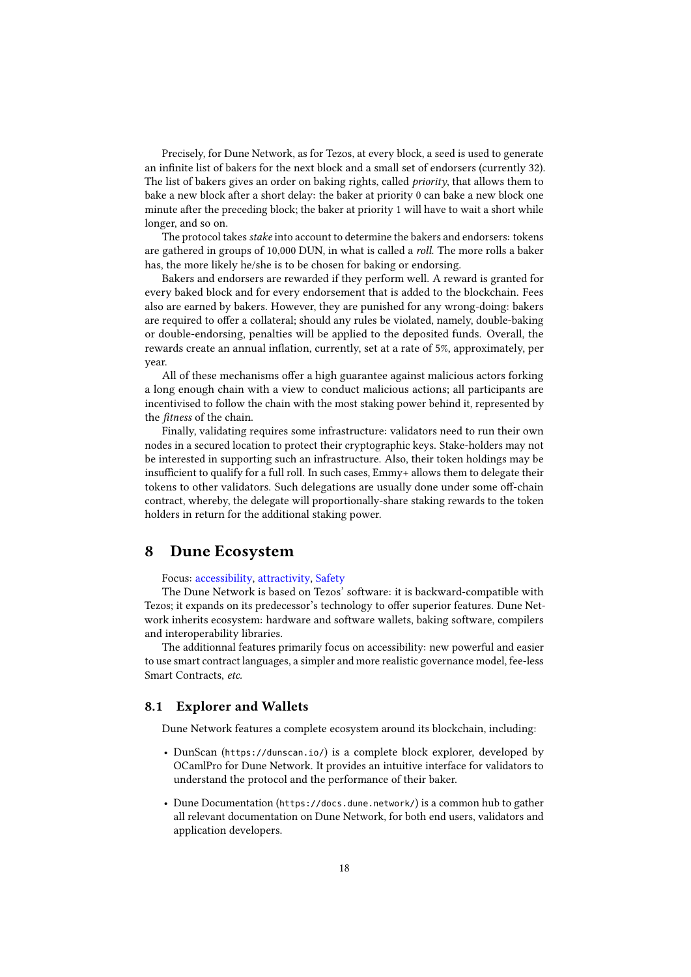Precisely, for Dune Network, as for Tezos, at every block, a seed is used to generate an infinite list of bakers for the next block and a small set of endorsers (currently 32). The list of bakers gives an order on baking rights, called priority, that allows them to bake a new block after a short delay: the baker at priority 0 can bake a new block one minute after the preceding block; the baker at priority 1 will have to wait a short while longer, and so on.

The protocol takes *stake* into account to determine the bakers and endorsers: tokens are gathered in groups of 10,000 DUN, in what is called a roll. The more rolls a baker has, the more likely he/she is to be chosen for baking or endorsing.

Bakers and endorsers are rewarded if they perform well. A reward is granted for every baked block and for every endorsement that is added to the blockchain. Fees also are earned by bakers. However, they are punished for any wrong-doing: bakers are required to offer a collateral; should any rules be violated, namely, double-baking or double-endorsing, penalties will be applied to the deposited funds. Overall, the rewards create an annual inflation, currently, set at a rate of 5%, approximately, per year.

All of these mechanisms offer a high guarantee against malicious actors forking a long enough chain with a view to conduct malicious actions; all participants are incentivised to follow the chain with the most staking power behind it, represented by the *fitness* of the chain.

Finally, validating requires some infrastructure: validators need to run their own nodes in a secured location to protect their cryptographic keys. Stake-holders may not be interested in supporting such an infrastructure. Also, their token holdings may be insufficient to qualify for a full roll. In such cases, Emmy+ allows them to delegate their tokens to other validators. Such delegations are usually done under some off-chain contract, whereby, the delegate will proportionally-share staking rewards to the token holders in return for the additional staking power.

## <span id="page-17-0"></span>8 Dune Ecosystem

Focus: accessibility, attractivity, Safety

The Dune Network is based on Tezos' software: it is backward-compatible with Tezos; it expands on its predecessor's technology to offer superior features. Dune Network inherits ecosystem: hardware and software wallets, baking software, compilers and interoperability libraries.

The additionnal features primarily focus on accessibility: new powerful and easier to use smart contract languages, a simpler and more realistic governance model, fee-less Smart Contracts, etc.

## <span id="page-17-1"></span>8.1 Explorer and Wallets

Dune Network features a complete ecosystem around its blockchain, including:

- DunScan (<https://dunscan.io/>) is a complete block explorer, developed by OCamlPro for Dune Network. It provides an intuitive interface for validators to understand the protocol and the performance of their baker.
- Dune Documentation (<https://docs.dune.network/>) is a common hub to gather all relevant documentation on Dune Network, for both end users, validators and application developers.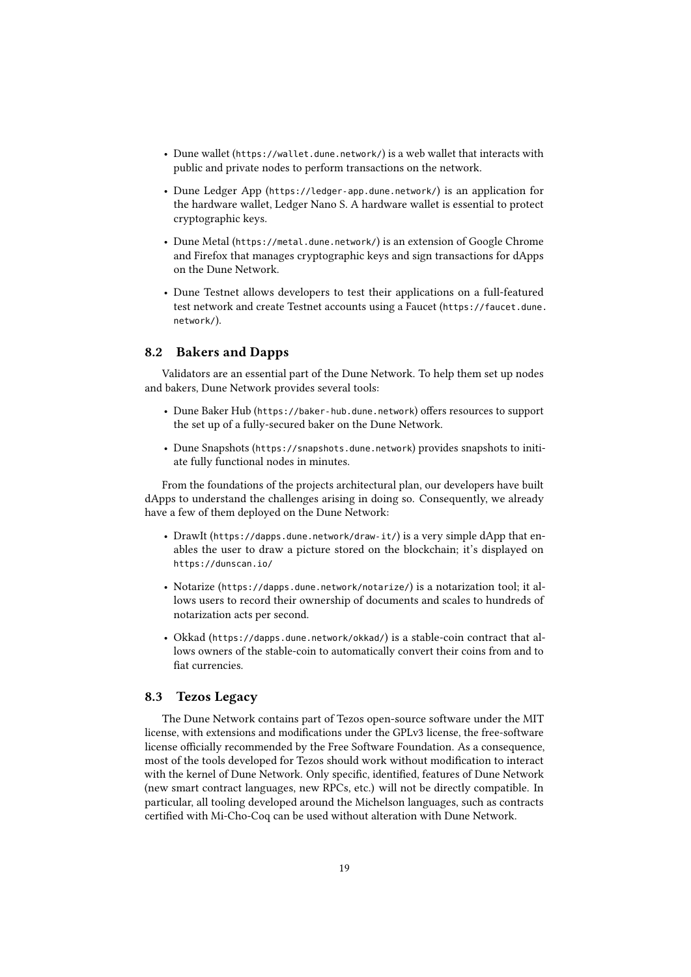- Dune wallet (<https://wallet.dune.network/>) is a web wallet that interacts with public and private nodes to perform transactions on the network.
- Dune Ledger App (<https://ledger-app.dune.network/>) is an application for the hardware wallet, Ledger Nano S. A hardware wallet is essential to protect cryptographic keys.
- Dune Metal (<https://metal.dune.network/>) is an extension of Google Chrome and Firefox that manages cryptographic keys and sign transactions for dApps on the Dune Network.
- Dune Testnet allows developers to test their applications on a full-featured test network and create Testnet accounts using a Faucet ([https://faucet.dune.](https://faucet.dune.network/) [network/](https://faucet.dune.network/)).

## <span id="page-18-0"></span>8.2 Bakers and Dapps

Validators are an essential part of the Dune Network. To help them set up nodes and bakers, Dune Network provides several tools:

- Dune Baker Hub (<https://baker-hub.dune.network>) offers resources to support the set up of a fully-secured baker on the Dune Network.
- Dune Snapshots (<https://snapshots.dune.network>) provides snapshots to initiate fully functional nodes in minutes.

From the foundations of the projects architectural plan, our developers have built dApps to understand the challenges arising in doing so. Consequently, we already have a few of them deployed on the Dune Network:

- DrawIt (<https://dapps.dune.network/draw-it/>) is a very simple dApp that enables the user to draw a picture stored on the blockchain; it's displayed on <https://dunscan.io/>
- Notarize (<https://dapps.dune.network/notarize/>) is a notarization tool; it allows users to record their ownership of documents and scales to hundreds of notarization acts per second.
- Okkad (<https://dapps.dune.network/okkad/>) is a stable-coin contract that allows owners of the stable-coin to automatically convert their coins from and to fiat currencies.

## <span id="page-18-1"></span>8.3 Tezos Legacy

The Dune Network contains part of Tezos open-source software under the MIT license, with extensions and modifications under the GPLv3 license, the free-software license officially recommended by the Free Software Foundation. As a consequence, most of the tools developed for Tezos should work without modification to interact with the kernel of Dune Network. Only specific, identified, features of Dune Network (new smart contract languages, new RPCs, etc.) will not be directly compatible. In particular, all tooling developed around the Michelson languages, such as contracts certified with Mi-Cho-Coq can be used without alteration with Dune Network.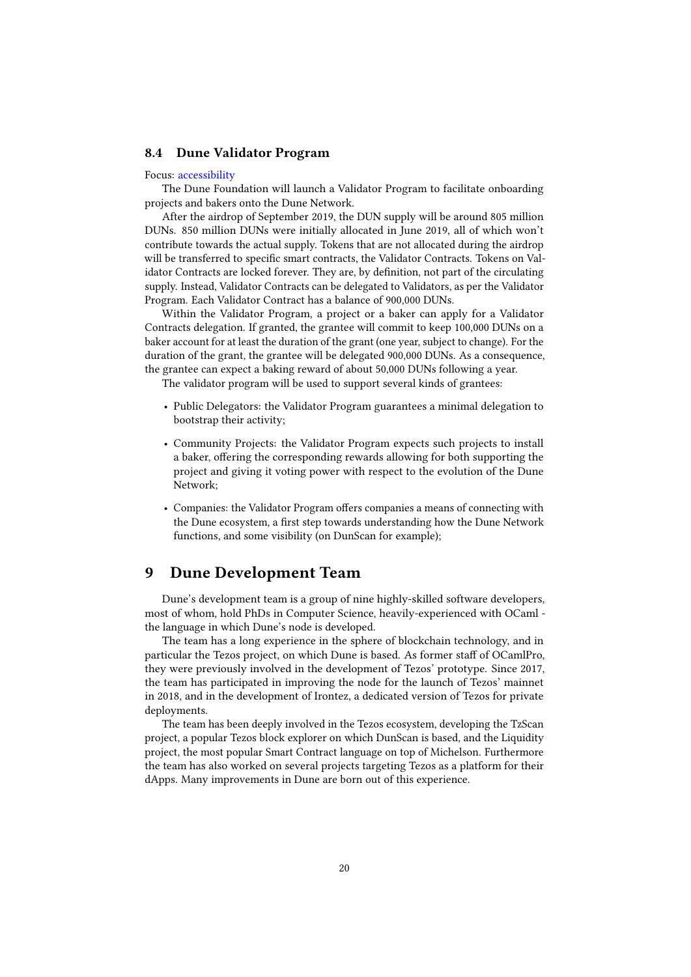### <span id="page-19-0"></span>8.4 Dune Validator Program

#### Focus: accessibility

The Dune Foundation will launch a Validator Program to facilitate onboarding projects and bakers onto the Dune Network.

After the airdrop of September 2019, the DUN supply will be around 805 million DUNs. 850 million DUNs were initially allocated in June 2019, all of which won't contribute towards the actual supply. Tokens that are not allocated during the airdrop will be transferred to specific smart contracts, the Validator Contracts. Tokens on Validator Contracts are locked forever. They are, by definition, not part of the circulating supply. Instead, Validator Contracts can be delegated to Validators, as per the Validator Program. Each Validator Contract has a balance of 900,000 DUNs.

Within the Validator Program, a project or a baker can apply for a Validator Contracts delegation. If granted, the grantee will commit to keep 100,000 DUNs on a baker account for at least the duration of the grant (one year, subject to change). For the duration of the grant, the grantee will be delegated 900,000 DUNs. As a consequence, the grantee can expect a baking reward of about 50,000 DUNs following a year.

The validator program will be used to support several kinds of grantees:

- Public Delegators: the Validator Program guarantees a minimal delegation to bootstrap their activity;
- Community Projects: the Validator Program expects such projects to install a baker, offering the corresponding rewards allowing for both supporting the project and giving it voting power with respect to the evolution of the Dune Network;
- Companies: the Validator Program offers companies a means of connecting with the Dune ecosystem, a first step towards understanding how the Dune Network functions, and some visibility (on DunScan for example);

## <span id="page-19-1"></span>9 Dune Development Team

Dune's development team is a group of nine highly-skilled software developers, most of whom, hold PhDs in Computer Science, heavily-experienced with OCaml the language in which Dune's node is developed.

The team has a long experience in the sphere of blockchain technology, and in particular the Tezos project, on which Dune is based. As former staff of OCamlPro, they were previously involved in the development of Tezos' prototype. Since 2017, the team has participated in improving the node for the launch of Tezos' mainnet in 2018, and in the development of Irontez, a dedicated version of Tezos for private deployments.

The team has been deeply involved in the Tezos ecosystem, developing the TzScan project, a popular Tezos block explorer on which DunScan is based, and the Liquidity project, the most popular Smart Contract language on top of Michelson. Furthermore the team has also worked on several projects targeting Tezos as a platform for their dApps. Many improvements in Dune are born out of this experience.